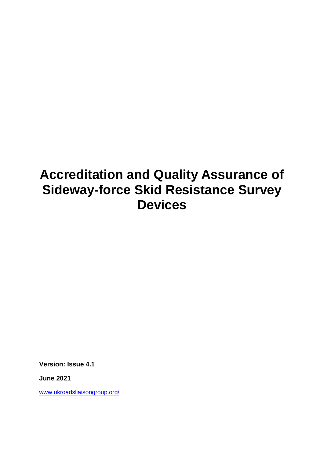# **Accreditation and Quality Assurance of Sideway-force Skid Resistance Survey Devices**

**Version: Issue 4.1**

**June 2021**

[www.ukroadsliaisongroup.org/](http://www.ukroadsliaisongroup.org/)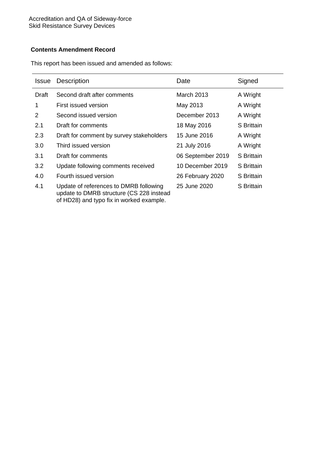## **Contents Amendment Record**

This report has been issued and amended as follows:

| <b>Issue</b> | <b>Description</b>                                                                                                             | Date              | Signed     |
|--------------|--------------------------------------------------------------------------------------------------------------------------------|-------------------|------------|
| Draft        | Second draft after comments                                                                                                    | <b>March 2013</b> | A Wright   |
| 1            | First issued version                                                                                                           | May 2013          | A Wright   |
| 2            | Second issued version                                                                                                          | December 2013     | A Wright   |
| 2.1          | Draft for comments                                                                                                             | 18 May 2016       | S Brittain |
| 2.3          | Draft for comment by survey stakeholders                                                                                       | 15 June 2016      | A Wright   |
| 3.0          | Third issued version                                                                                                           | 21 July 2016      | A Wright   |
| 3.1          | Draft for comments                                                                                                             | 06 September 2019 | S Brittain |
| 3.2          | Update following comments received                                                                                             | 10 December 2019  | S Brittain |
| 4.0          | Fourth issued version                                                                                                          | 26 February 2020  | S Brittain |
| 4.1          | Update of references to DMRB following<br>update to DMRB structure (CS 228 instead<br>of HD28) and typo fix in worked example. | 25 June 2020      | S Brittain |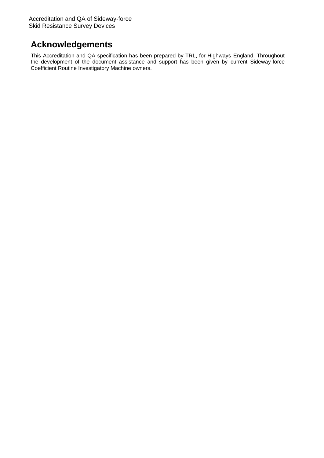## **Acknowledgements**

This Accreditation and QA specification has been prepared by TRL, for Highways England. Throughout the development of the document assistance and support has been given by current Sideway-force Coefficient Routine Investigatory Machine owners.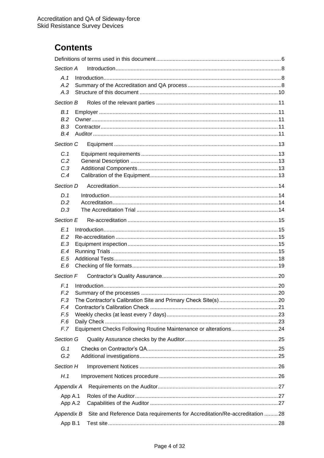## **Contents**

| Section A              |                                                                            |  |
|------------------------|----------------------------------------------------------------------------|--|
| A.1                    |                                                                            |  |
| A.2                    |                                                                            |  |
| A.3                    |                                                                            |  |
| Section B              |                                                                            |  |
| B.1                    |                                                                            |  |
| B.2                    |                                                                            |  |
| B.3                    |                                                                            |  |
| B.4                    |                                                                            |  |
| Section C              |                                                                            |  |
| C.1                    |                                                                            |  |
| C.2                    |                                                                            |  |
| C.3                    |                                                                            |  |
| C.4                    |                                                                            |  |
| Section D              |                                                                            |  |
| D.1                    |                                                                            |  |
| D.2                    |                                                                            |  |
| D.3                    |                                                                            |  |
| Section E              |                                                                            |  |
| E.1                    |                                                                            |  |
| E.2                    |                                                                            |  |
| E.3                    |                                                                            |  |
| E.4<br>E.5             |                                                                            |  |
| E.6                    |                                                                            |  |
|                        |                                                                            |  |
| Section F              |                                                                            |  |
| F.1                    |                                                                            |  |
| F <sub>.2</sub><br>F.3 |                                                                            |  |
| F.4                    |                                                                            |  |
| F.5                    |                                                                            |  |
| F.6                    |                                                                            |  |
| F.7                    | Equipment Checks Following Routine Maintenance or alterations24            |  |
| Section G              |                                                                            |  |
| G.1                    |                                                                            |  |
| G.2                    |                                                                            |  |
| Section H              |                                                                            |  |
| H.1                    |                                                                            |  |
| Appendix A             |                                                                            |  |
| App A.1                |                                                                            |  |
| App A.2                |                                                                            |  |
| Appendix B             | Site and Reference Data requirements for Accreditation/Re-accreditation 28 |  |
|                        |                                                                            |  |
| App B.1                |                                                                            |  |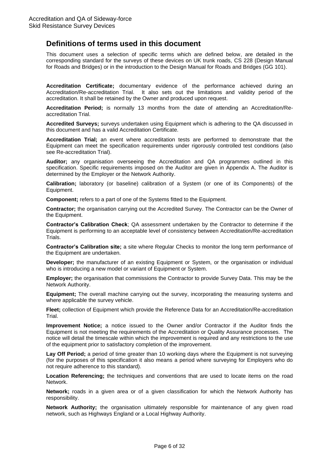## <span id="page-5-0"></span>**Definitions of terms used in this document**

This document uses a selection of specific terms which are defined below, are detailed in the corresponding standard for the surveys of these devices on UK trunk roads, CS 228 (Design Manual for Roads and Bridges) or in the introduction to the Design Manual for Roads and Bridges (GG 101).

**Accreditation Certificate;** documentary evidence of the performance achieved during an Accreditation/Re-accreditation Trial. It also sets out the limitations and validity period of the accreditation. It shall be retained by the Owner and produced upon request.

**Accreditation Period;** is normally 13 months from the date of attending an Accreditation/Reaccreditation Trial.

**Accredited Surveys;** surveys undertaken using Equipment which is adhering to the QA discussed in this document and has a valid Accreditation Certificate.

**Accreditation Trial;** an event where accreditation tests are performed to demonstrate that the Equipment can meet the specification requirements under rigorously controlled test conditions (also see Re-accreditation Trial).

**Auditor;** any organisation overseeing the Accreditation and QA programmes outlined in this specification. Specific requirements imposed on the Auditor are given in [Appendix A.](#page-26-0) The Auditor is determined by the Employer or the Network Authority.

**Calibration;** laboratory (or baseline) calibration of a System (or one of its Components) of the Equipment.

**Component;** refers to a part of one of the Systems fitted to the Equipment.

**Contractor;** the organisation carrying out the Accredited Survey. The Contractor can be the Owner of the Equipment.

**Contractor's Calibration Check**; QA assessment undertaken by the Contractor to determine if the Equipment is performing to an acceptable level of consistency between Accreditation/Re-accreditation Trials.

**Contractor's Calibration site;** a site where Regular Checks to monitor the long term performance of the Equipment are undertaken.

**Developer;** the manufacturer of an existing Equipment or System, or the organisation or individual who is introducing a new model or variant of Equipment or System.

**Employer;** the organisation that commissions the Contractor to provide Survey Data. This may be the Network Authority.

**Equipment;** The overall machine carrying out the survey, incorporating the measuring systems and where applicable the survey vehicle.

**Fleet;** collection of Equipment which provide the Reference Data for an Accreditation/Re-accreditation Trial.

**Improvement Notice;** a notice issued to the Owner and/or Contractor if the Auditor finds the Equipment is not meeting the requirements of the Accreditation or Quality Assurance processes. The notice will detail the timescale within which the improvement is required and any restrictions to the use of the equipment prior to satisfactory completion of the improvement.

Lay Off Period; a period of time greater than 10 working days where the Equipment is not surveying (for the purposes of this specification it also means a period where surveying for Employers who do not require adherence to this standard).

**Location Referencing;** the techniques and conventions that are used to locate items on the road Network.

**Network;** roads in a given area or of a given classification for which the Network Authority has responsibility.

**Network Authority;** the organisation ultimately responsible for maintenance of any given road network, such as Highways England or a Local Highway Authority.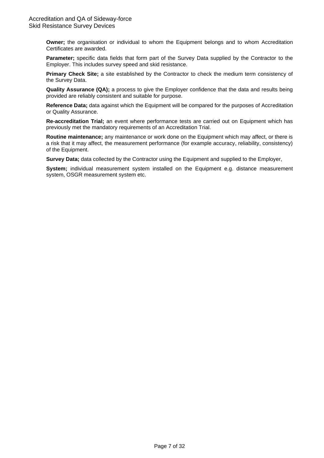**Owner;** the organisation or individual to whom the Equipment belongs and to whom Accreditation Certificates are awarded.

**Parameter;** specific data fields that form part of the Survey Data supplied by the Contractor to the Employer. This includes survey speed and skid resistance.

**Primary Check Site;** a site established by the Contractor to check the medium term consistency of the Survey Data.

**Quality Assurance (QA);** a process to give the Employer confidence that the data and results being provided are reliably consistent and suitable for purpose.

**Reference Data;** data against which the Equipment will be compared for the purposes of Accreditation or Quality Assurance.

**Re-accreditation Trial;** an event where performance tests are carried out on Equipment which has previously met the mandatory requirements of an Accreditation Trial.

**Routine maintenance;** any maintenance or work done on the Equipment which may affect, or there is a risk that it may affect, the measurement performance (for example accuracy, reliability, consistency) of the Equipment.

**Survey Data;** data collected by the Contractor using the Equipment and supplied to the Employer,

**System;** individual measurement system installed on the Equipment e.g. distance measurement system, OSGR measurement system etc.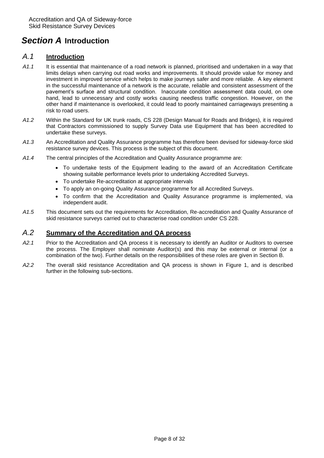## <span id="page-7-0"></span>*Section A* **Introduction**

## <span id="page-7-1"></span>*A.1* **Introduction**

- *A1.1* It is essential that maintenance of a road network is planned, prioritised and undertaken in a way that limits delays when carrying out road works and improvements. It should provide value for money and investment in improved service which helps to make journeys safer and more reliable. A key element in the successful maintenance of a network is the accurate, reliable and consistent assessment of the pavement's surface and structural condition. Inaccurate condition assessment data could, on one hand, lead to unnecessary and costly works causing needless traffic congestion. However, on the other hand if maintenance is overlooked, it could lead to poorly maintained carriageways presenting a risk to road users.
- *A1.2* Within the Standard for UK trunk roads, CS 228 (Design Manual for Roads and Bridges), it is required that Contractors commissioned to supply Survey Data use Equipment that has been accredited to undertake these surveys.
- *A1.3* An Accreditation and Quality Assurance programme has therefore been devised for sideway-force skid resistance survey devices. This process is the subject of this document.
- *A1.4* The central principles of the Accreditation and Quality Assurance programme are:
	- To undertake tests of the Equipment leading to the award of an Accreditation Certificate showing suitable performance levels prior to undertaking Accredited Surveys.
	- To undertake Re-accreditation at appropriate intervals
	- To apply an on-going Quality Assurance programme for all Accredited Surveys.
	- To confirm that the Accreditation and Quality Assurance programme is implemented, via independent audit.
- *A1.5* This document sets out the requirements for Accreditation, Re-accreditation and Quality Assurance of skid resistance surveys carried out to characterise road condition under CS 228.

### <span id="page-7-2"></span>*A.2* **Summary of the Accreditation and QA process**

- *A2.1* Prior to the Accreditation and QA process it is necessary to identify an Auditor or Auditors to oversee the process. The Employer shall nominate Auditor(s) and this may be external or internal (or a combination of the two). Further details on the responsibilities of these roles are given in [Section B.](#page-10-5)
- *A2.2* The overall skid resistance Accreditation and QA process is shown in [Figure 1,](#page-8-0) and is described further in the following sub-sections.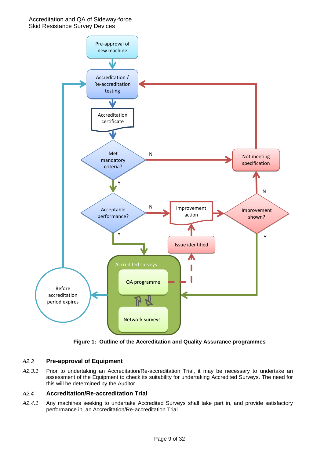

**Figure 1: Outline of the Accreditation and Quality Assurance programmes**

### <span id="page-8-0"></span>*A2.3* **Pre-approval of Equipment**

*A2.3.1* Prior to undertaking an Accreditation/Re-accreditation Trial, it may be necessary to undertake an assessment of the Equipment to check its suitability for undertaking Accredited Surveys. The need for this will be determined by the Auditor.

#### *A2.4* **Accreditation/Re-accreditation Trial**

*A2.4.1* Any machines seeking to undertake Accredited Surveys shall take part in, and provide satisfactory performance in, an Accreditation/Re-accreditation Trial.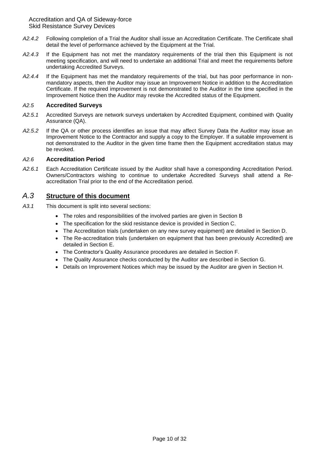- *A2.4.2* Following completion of a Trial the Auditor shall issue an Accreditation Certificate. The Certificate shall detail the level of performance achieved by the Equipment at the Trial.
- *A2.4.3* If the Equipment has not met the mandatory requirements of the trial then this Equipment is not meeting specification, and will need to undertake an additional Trial and meet the requirements before undertaking Accredited Surveys.
- *A2.4.4* If the Equipment has met the mandatory requirements of the trial, but has poor performance in nonmandatory aspects, then the Auditor may issue an Improvement Notice in addition to the Accreditation Certificate. If the required improvement is not demonstrated to the Auditor in the time specified in the Improvement Notice then the Auditor may revoke the Accredited status of the Equipment.

#### *A2.5* **Accredited Surveys**

- *A2.5.1* Accredited Surveys are network surveys undertaken by Accredited Equipment, combined with Quality Assurance (QA).
- *A2.5.2* If the QA or other process identifies an issue that may affect Survey Data the Auditor may issue an Improvement Notice to the Contractor and supply a copy to the Employer. If a suitable improvement is not demonstrated to the Auditor in the given time frame then the Equipment accreditation status may be revoked.

#### *A2.6* **Accreditation Period**

*A2.6.1* Each Accreditation Certificate issued by the Auditor shall have a corresponding Accreditation Period. Owners/Contractors wishing to continue to undertake Accredited Surveys shall attend a Reaccreditation Trial prior to the end of the Accreditation period.

## <span id="page-9-0"></span>*A.3* **Structure of this document**

- *A3.1* This document is split into several sections:
	- The roles and responsibilities of the involved parties are given in [Section B](#page-10-5)
	- The specification for the skid resistance device is provided in [Section C.](#page-12-5)
	- The Accreditation trials (undertaken on any new survey equipment) are detailed in [Section D.](#page-13-4)
	- The Re-accreditation trials (undertaken on equipment that has been previously Accredited) are detailed in [Section E.](#page-14-5)
	- The Contractor's Quality Assurance procedures are detailed in [Section F.](#page-19-4)
	- The Quality Assurance checks conducted by the Auditor are described in [Section G.](#page-24-3)
	- Details on Improvement Notices which may be issued by the Auditor are given in [Section H.](#page-25-2)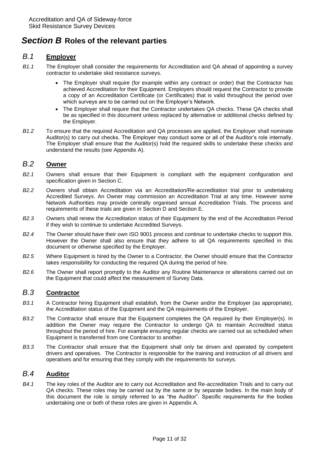## <span id="page-10-5"></span><span id="page-10-0"></span>*Section B* **Roles of the relevant parties**

## <span id="page-10-1"></span>*B.1* **Employer**

- *B1.1* The Employer shall consider the requirements for Accreditation and QA ahead of appointing a survey contractor to undertake skid resistance surveys.
	- The Employer shall require (for example within any contract or order) that the Contractor has achieved Accreditation for their Equipment. Employers should request the Contractor to provide a copy of an Accreditation Certificate (or Certificates) that is valid throughout the period over which surveys are to be carried out on the Employer's Network.
	- The Employer shall require that the Contractor undertakes QA checks. These QA checks shall be as specified in this document unless replaced by alternative or additional checks defined by the Employer.
- *B1.2* To ensure that the required Accreditation and QA processes are applied, the Employer shall nominate Auditor(s) to carry out checks. The Employer may conduct some or all of the Auditor's role internally. The Employer shall ensure that the Auditor(s) hold the required skills to undertake these checks and understand the results (see [Appendix A\)](#page-26-3).

## <span id="page-10-2"></span>*B.2* **Owner**

- *B2.1* Owners shall ensure that their Equipment is compliant with the equipment configuration and specification given in [Section C.](#page-12-5)
- *B2.2* Owners shall obtain Accreditation via an Accreditation/Re-accreditation trial prior to undertaking Accredited Surveys. An Owner may commission an Accreditation Trial at any time. However some Network Authorities may provide centrally organised annual Accreditation Trials. The process and requirements of these trials are given in [Section D](#page-13-4) and [Section E.](#page-14-5)
- *B2.3* Owners shall renew the Accreditation status of their Equipment by the end of the Accreditation Period if they wish to continue to undertake Accredited Surveys.
- *B2.4* The Owner should have their own ISO 9001 process and continue to undertake checks to support this. However the Owner shall also ensure that they adhere to all QA requirements specified in this document or otherwise specified by the Employer.
- *B2.5* Where Equipment is hired by the Owner to a Contractor, the Owner should ensure that the Contractor takes responsibility for conducting the required QA during the period of hire.
- *B2.6* The Owner shall report promptly to the Auditor any Routine Maintenance or alterations carried out on the Equipment that could affect the measurement of Survey Data.

## <span id="page-10-3"></span>*B.3* **Contractor**

- *B3.1* A Contractor hiring Equipment shall establish, from the Owner and/or the Employer (as appropriate), the Accreditation status of the Equipment and the QA requirements of the Employer.
- *B3.2* The Contractor shall ensure that the Equipment completes the QA required by their Employer(s). In addition the Owner may require the Contractor to undergo QA to maintain Accredited status throughout the period of hire. For example ensuring regular checks are carried out as scheduled when Equipment is transferred from one Contractor to another.
- *B3.3* The Contractor shall ensure that the Equipment shall only be driven and operated by competent drivers and operatives. The Contractor is responsible for the training and instruction of all drivers and operatives and for ensuring that they comply with the requirements for surveys.

## <span id="page-10-6"></span><span id="page-10-4"></span>*B.4* **Auditor**

*B4.1* The key roles of the Auditor are to carry out Accreditation and Re-accreditation Trials and to carry out QA checks. These roles may be carried out by the same or by separate bodies. In the main body of this document the role is simply referred to as "the Auditor". Specific requirements for the bodies undertaking one or both of these roles are given in [Appendix A.](#page-26-3)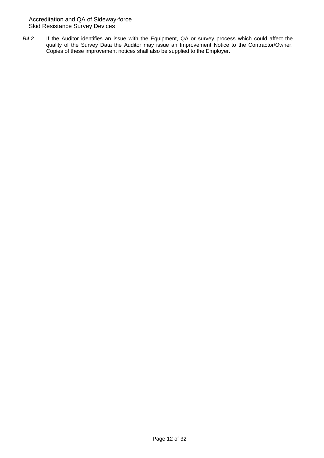*B4.2* If the Auditor identifies an issue with the Equipment, QA or survey process which could affect the quality of the Survey Data the Auditor may issue an Improvement Notice to the Contractor/Owner. Copies of these improvement notices shall also be supplied to the Employer.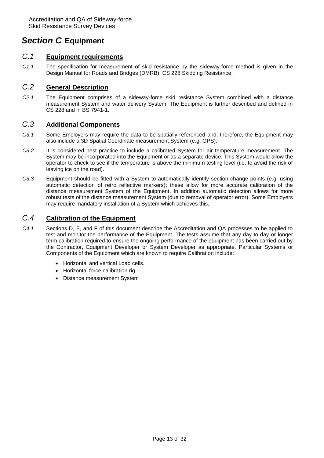## <span id="page-12-5"></span><span id="page-12-0"></span>*Section C* **Equipment**

## <span id="page-12-1"></span>*C.1* **Equipment requirements**

*C1.1* The specification for measurement of skid resistance by the sideway-force method is given in the Design Manual for Roads and Bridges (DMRB); CS 228 Skidding Resistance.

## <span id="page-12-2"></span>*C.2* **General Description**

*C2.1* The Equipment comprises of a sideway-force skid resistance System combined with a distance measurement System and water delivery System. The Equipment is further described and defined in CS 228 and in BS 7941-1.

## <span id="page-12-3"></span>*C.3* **Additional Components**

- *C3.1* Some Employers may require the data to be spatially referenced and, therefore, the Equipment may also include a 3D Spatial Coordinate measurement System (e.g. GPS).
- *C3.2* It is considered best practice to include a calibrated System for air temperature measurement. The System may be incorporated into the Equipment or as a separate device. This System would allow the operator to check to see if the temperature is above the minimum testing level (i.e. to avoid the risk of leaving ice on the road).
- *C3.3* Equipment should be fitted with a System to automatically identify section change points (e.g. using automatic detection of retro reflective markers); these allow for more accurate calibration of the distance measurement System of the Equipment. In addition automatic detection allows for more robust tests of the distance measurement System (due to removal of operator error). Some Employers may require mandatory installation of a System which achieves this.

## <span id="page-12-4"></span>*C.4* **Calibration of the Equipment**

- *C4.1* Sections D, E, and F of this document describe the Accreditation and QA processes to be applied to test and monitor the performance of the Equipment. The tests assume that any day to day or longer term calibration required to ensure the ongoing performance of the equipment has been carried out by the Contractor, Equipment Developer or System Developer as appropriate. Particular Systems or Components of the Equipment which are known to require Calibration include:
	- Horizontal and vertical Load cells.
	- Horizontal force calibration rig.
	- Distance measurement System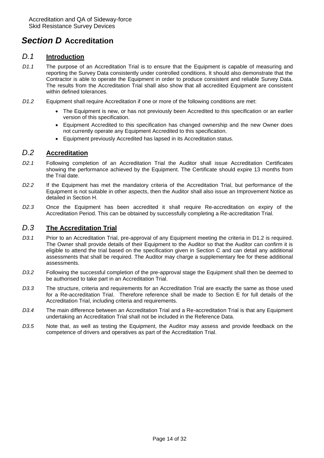## <span id="page-13-4"></span><span id="page-13-0"></span>*Section D* **Accreditation**

## <span id="page-13-1"></span>*D.1* **Introduction**

- *D1.1* The purpose of an Accreditation Trial is to ensure that the Equipment is capable of measuring and reporting the Survey Data consistently under controlled conditions. It should also demonstrate that the Contractor is able to operate the Equipment in order to produce consistent and reliable Survey Data. The results from the Accreditation Trial shall also show that all accredited Equipment are consistent within defined tolerances.
- <span id="page-13-5"></span>*D1.2* Equipment shall require Accreditation if one or more of the following conditions are met:
	- The Equipment is new, or has not previously been Accredited to this specification or an earlier version of this specification.
	- Equipment Accredited to this specification has changed ownership and the new Owner does not currently operate any Equipment Accredited to this specification.
	- Equipment previously Accredited has lapsed in its Accreditation status.

## <span id="page-13-2"></span>*D.2* **Accreditation**

- *D2.1* Following completion of an Accreditation Trial the Auditor shall issue Accreditation Certificates showing the performance achieved by the Equipment. The Certificate should expire 13 months from the Trial date.
- *D2.2* If the Equipment has met the mandatory criteria of the Accreditation Trial, but performance of the Equipment is not suitable in other aspects, then the Auditor shall also issue an Improvement Notice as detailed in [Section H.](#page-25-2)
- *D2.3* Once the Equipment has been accredited it shall require Re-accreditation on expiry of the Accreditation Period. This can be obtained by successfully completing a Re-accreditation Trial.

## <span id="page-13-3"></span>*D.3* **The Accreditation Trial**

- *D3.1* Prior to an Accreditation Trial, pre-approval of any Equipment meeting the criteria in [D1.2](#page-13-5) is required. The Owner shall provide details of their Equipment to the Auditor so that the Auditor can confirm it is eligible to attend the trial based on the specification given in [Section C](#page-12-5) and can detail any additional assessments that shall be required. The Auditor may charge a supplementary fee for these additional assessments.
- *D3.2* Following the successful completion of the pre-approval stage the Equipment shall then be deemed to be authorised to take part in an Accreditation Trial.
- *D3.3* The structure, criteria and requirements for an Accreditation Trial are exactly the same as those used for a Re-accreditation Trial. Therefore reference shall be made to [Section E](#page-14-5) for full details of the Accreditation Trial, including criteria and requirements.
- *D3.4* The main difference between an Accreditation Trial and a Re-accreditation Trial is that any Equipment undertaking an Accreditation Trial shall not be included in the Reference Data.
- *D3.5* Note that, as well as testing the Equipment, the Auditor may assess and provide feedback on the competence of drivers and operatives as part of the Accreditation Trial.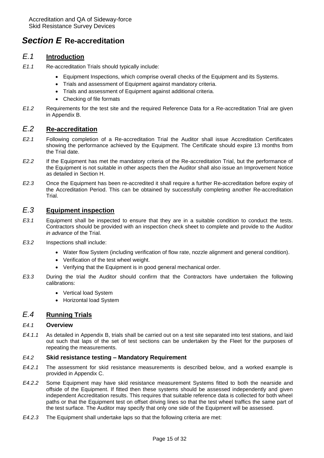## <span id="page-14-5"></span><span id="page-14-0"></span>*Section E* **Re-accreditation**

## <span id="page-14-1"></span>*E.1* **Introduction**

- *E1.1* Re-accreditation Trials should typically include:
	- Equipment Inspections, which comprise overall checks of the Equipment and its Systems.
	- Trials and assessment of Equipment against mandatory criteria.
	- Trials and assessment of Equipment against additional criteria.
	- Checking of file formats
- *E1.2* Requirements for the test site and the required Reference Data for a Re-accreditation Trial are given in [Appendix B.](#page-27-4)

## <span id="page-14-2"></span>*E.2* **Re-accreditation**

- *E2.1* Following completion of a Re-accreditation Trial the Auditor shall issue Accreditation Certificates showing the performance achieved by the Equipment. The Certificate should expire 13 months from the Trial date.
- *E2.2* If the Equipment has met the mandatory criteria of the Re-accreditation Trial, but the performance of the Equipment is not suitable in other aspects then the Auditor shall also issue an Improvement Notice as detailed in [Section H.](#page-25-2)
- *E2.3* Once the Equipment has been re-accredited it shall require a further Re-accreditation before expiry of the Accreditation Period. This can be obtained by successfully completing another Re-accreditation Trial.

## <span id="page-14-3"></span>*E.3* **Equipment inspection**

- *E3.1* Equipment shall be inspected to ensure that they are in a suitable condition to conduct the tests. Contractors should be provided with an inspection check sheet to complete and provide to the Auditor *in advance* of the Trial.
- *E3.2* Inspections shall include:
	- Water flow System (including verification of flow rate, nozzle alignment and general condition).
	- Verification of the test wheel weight.
	- Verifying that the Equipment is in good general mechanical order.
- *E3.3* During the trial the Auditor should confirm that the Contractors have undertaken the following calibrations:
	- Vertical load System
	- Horizontal load System

## <span id="page-14-4"></span>*E.4* **Running Trials**

#### *E4.1* **Overview**

*E4.1.1* As detailed in [Appendix B,](#page-27-4) trials shall be carried out on a test site separated into test stations, and laid out such that laps of the set of test sections can be undertaken by the Fleet for the purposes of repeating the measurements.

#### *E4.2* **Skid resistance testing – Mandatory Requirement**

- *E4.2.1* The assessment for skid resistance measurements is described below, and a worked example is provided in [Appendix C.](#page-29-2)
- *E4.2.2* Some Equipment may have skid resistance measurement Systems fitted to both the nearside and offside of the Equipment. If fitted then these systems should be assessed independently and given independent Accreditation results. This requires that suitable reference data is collected for both wheel paths or that the Equipment test on offset driving lines so that the test wheel traffics the same part of the test surface. The Auditor may specify that only one side of the Equipment will be assessed.
- *E4.2.3* The Equipment shall undertake laps so that the following criteria are met: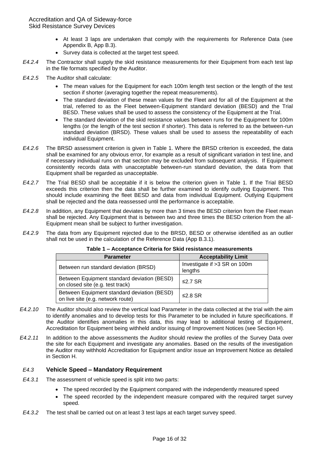- At least 3 laps are undertaken that comply with the requirements for Reference Data (see [Appendix B,](#page-27-4) [App B.3\)](#page-27-5).
- Survey data is collected at the target test speed.
- *E4.2.4* The Contractor shall supply the skid resistance measurements for their Equipment from each test lap in the file formats specified by the Auditor.
- *E4.2.5* The Auditor shall calculate:
	- The mean values for the Equipment for each 100m length test section or the length of the test section if shorter (averaging together the repeat measurements).
	- The standard deviation of these mean values for the Fleet and for all of the Equipment at the trial, referred to as the Fleet between-Equipment standard deviation (BESD) and the Trial BESD. These values shall be used to assess the consistency of the Equipment at the Trial.
	- The standard deviation of the skid resistance values between runs for the Equipment for 100m lengths (or the length of the test section if shorter). This data is referred to as the between-run standard deviation (BRSD). These values shall be used to assess the repeatability of each individual Equipment.
- *E4.2.6* The BRSD assessment criterion is given in [Table 1.](#page-15-0) Where the BRSD criterion is exceeded, the data shall be examined for any obvious error, for example as a result of significant variation in test line, and if necessary individual runs on that section may be excluded from subsequent analysis. If Equipment consistently records data with unacceptable between-run standard deviation, the data from that Equipment shall be regarded as unacceptable.
- *E4.2.7* The Trial BESD shall be acceptable if it is below the criterion given in [Table 1.](#page-15-0) If the Trial BESD exceeds this criterion then the data shall be further examined to identify outlying Equipment. This should include examining the fleet BESD and data from individual Equipment. Outlying Equipment shall be rejected and the data reassessed until the performance is acceptable.
- *E4.2.8* In addition, any Equipment that deviates by more than 3 times the BESD criterion from the Fleet mean shall be rejected. Any Equipment that is between two and three times the BESD criterion from the all-Equipment mean shall be subject to further investigation.
- <span id="page-15-0"></span>*E4.2.9* The data from any Equipment rejected due to the BRSD, BESD or otherwise identified as an outlier shall not be used in the calculation of the Reference Data [\(App B.3.1\)](#page-27-6).

| <b>Parameter</b>                                                                 | <b>Acceptability Limit</b>              |
|----------------------------------------------------------------------------------|-----------------------------------------|
| Between run standard deviation (BRSD)                                            | Investigate if >3 SR on 100m<br>lengths |
| Between Equipment standard deviation (BESD)<br>on closed site (e.g. test track)  | ≤2.7 SR                                 |
| Between Equipment standard deviation (BESD)<br>on live site (e.g. network route) | $\leq$ 2.8 SR                           |

| Table 1 – Acceptance Criteria for Skid resistance measurements |
|----------------------------------------------------------------|
|----------------------------------------------------------------|

- *E4.2.10* The Auditor should also review the vertical load Parameter in the data collected at the trial with the aim to identify anomalies and to develop tests for this Parameter to be included in future specifications. If the Auditor identifies anomalies in this data, this may lead to additional testing of Equipment, Accreditation for Equipment being withheld and/or issuing of Improvement Notices (see [Section H\)](#page-25-2).
- *E4.2.11* In addition to the above assessments the Auditor should review the profiles of the Survey Data over the site for each Equipment and investigate any anomalies. Based on the results of the investigation the Auditor may withhold Accreditation for Equipment and/or issue an Improvement Notice as detailed in [Section H.](#page-25-2)

#### *E4.3* **Vehicle Speed – Mandatory Requirement**

- *E4.3.1* The assessment of vehicle speed is split into two parts:
	- The speed recorded by the Equipment compared with the independently measured speed
	- The speed recorded by the independent measure compared with the required target survey speed.
- *E4.3.2* The test shall be carried out on at least 3 test laps at each target survey speed.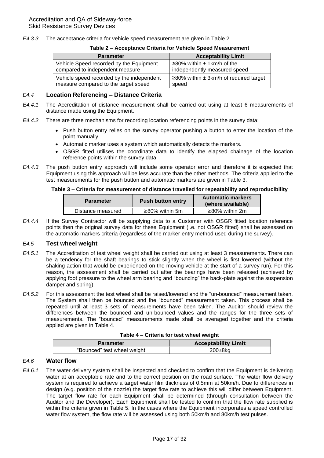<span id="page-16-0"></span>*E4.3.3* The acceptance criteria for vehicle speed measurement are given in [Table 2.](#page-16-0)

| <b>Parameter</b>                          | <b>Acceptability Limit</b>                       |
|-------------------------------------------|--------------------------------------------------|
| Vehicle Speed recorded by the Equipment   | ≥80% within $±$ 1km/h of the                     |
| compared to independent measure           | independently measured speed                     |
| Vehicle speed recorded by the independent | $\geq$ 80% within $\pm$ 3km/h of required target |
| measure compared to the target speed      | speed                                            |

#### **Table 2 – Acceptance Criteria for Vehicle Speed Measurement**

#### *E4.4* **Location Referencing – Distance Criteria**

- *E4.4.1* The Accreditation of distance measurement shall be carried out using at least 6 measurements of distance made using the Equipment.
- <span id="page-16-3"></span>*E4.4.2* There are three mechanisms for recording location referencing points in the survey data:
	- Push button entry relies on the survey operator pushing a button to enter the location of the point manually.
	- Automatic marker uses a system which automatically detects the markers.
	- OSGR fitted utilises the coordinate data to identify the elapsed chainage of the location reference points within the survey data.
- *E4.4.3* The push button entry approach will include some operator error and therefore it is expected that Equipment using this approach will be less accurate than the other methods. The criteria applied to the test measurements for the push button and automatic markers are given in [Table 3.](#page-16-1)

#### <span id="page-16-1"></span>**Table 3 – Criteria for measurement of distance travelled for repeatability and reproducibility**

| <b>Parameter</b>  | <b>Push button entry</b> | <b>Automatic markers</b><br>(where available) |  |
|-------------------|--------------------------|-----------------------------------------------|--|
| Distance measured | $\geq$ 80% within 5m     | ≥80% within 2m                                |  |

*E4.4.4* If the Survey Contractor will be supplying data to a Customer with OSGR fitted location reference points then the original survey data for these Equipment (i.e. not OSGR fitted) shall be assessed on the automatic markers criteria (regardless of the marker entry method used during the survey).

#### *E4.5* **Test wheel weight**

- *E4.5.1* The Accreditation of test wheel weight shall be carried out using at least 3 measurements. There can be a tendency for the shaft bearings to stick slightly when the wheel is first lowered (without the shaking action that would be experienced on the moving vehicle at the start of a survey run). For this reason, the assessment shall be carried out after the bearings have been released (achieved by applying foot pressure to the wheel arm bearing and "bouncing" the back-plate against the suspension damper and spring).
- *E4.5.2* For this assessment the test wheel shall be raised/lowered and the "un-bounced" measurement taken. The System shall then be bounced and the "bounced" measurement taken. This process shall be repeated until at least 3 sets of measurements have been taken. The Auditor should review the differences between the bounced and un-bounced values and the ranges for the three sets of measurements. The "bounced" measurements made shall be averaged together and the criteria applied are given in [Table 4.](#page-16-2)

| Table 4 - Criteria for test wheel weight |  |  |  |  |
|------------------------------------------|--|--|--|--|
|------------------------------------------|--|--|--|--|

<span id="page-16-2"></span>

| <b>Parameter</b>            | <b>Acceptability Limit</b> |
|-----------------------------|----------------------------|
| "Bounced" test wheel weight | $200\pm8k$ g               |

### *E4.6* **Water flow**

*E4.6.1* The water delivery system shall be inspected and checked to confirm that the Equipment is delivering water at an acceptable rate and to the correct position on the road surface. The water flow delivery system is required to achieve a target water film thickness of 0.5mm at 50km/h. Due to differences in design (e.g. position of the nozzle) the target flow rate to achieve this will differ between Equipment. The target flow rate for each Equipment shall be determined (through consultation between the Auditor and the Developer). Each Equipment shall be tested to confirm that the flow rate supplied is within the criteria given in [Table 5.](#page-17-1) In the cases where the Equipment incorporates a speed controlled water flow system, the flow rate will be assessed using both 50km/h and 80km/h test pulses.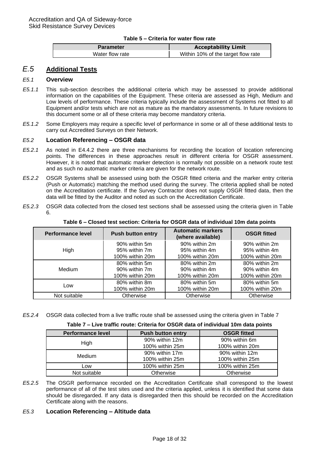| Table 5 – Criteria for water flow rate |  |
|----------------------------------------|--|
|----------------------------------------|--|

<span id="page-17-1"></span>

| <b>Parameter</b> | <b>Acceptability Limit</b>         |  |
|------------------|------------------------------------|--|
| Water flow rate  | Within 10% of the target flow rate |  |

## <span id="page-17-0"></span>*E.5* **Additional Tests**

#### *E5.1* **Overview**

- *E5.1.1* This sub-section describes the additional criteria which may be assessed to provide additional information on the capabilities of the Equipment. These criteria are assessed as High, Medium and Low levels of performance. These criteria typically include the assessment of Systems not fitted to all Equipment and/or tests which are not as mature as the mandatory assessments. In future revisions to this document some or all of these criteria may become mandatory criteria.
- *E5.1.2* Some Employers may require a specific level of performance in some or all of these additional tests to carry out Accredited Surveys on their Network.

#### *E5.2* **Location Referencing – OSGR data**

- *E5.2.1* As noted in [E4.4.2](#page-16-3) there are three mechanisms for recording the location of location referencing points. The differences in these approaches result in different criteria for OSGR assessment. However, it is noted that automatic marker detection is normally not possible on a network route test and as such no automatic marker criteria are given for the network route.
- *E5.2.2* OSGR Systems shall be assessed using both the OSGR fitted criteria and the marker entry criteria (Push or Automatic) matching the method used during the survey. The criteria applied shall be noted on the Accreditation certificate. If the Survey Contractor does not supply OSGR fitted data, then the data will be fitted by the Auditor and noted as such on the Accreditation Certificate.
- *E5.2.3* OSGR data collected from the closed test sections shall be assessed using the criteria given in [Table](#page-17-2)  [6.](#page-17-2)

<span id="page-17-2"></span>

| <b>Performance level</b> | <b>Push button entry</b>       | <b>Automatic markers</b><br>(where available) | <b>OSGR</b> fitted             |
|--------------------------|--------------------------------|-----------------------------------------------|--------------------------------|
|                          | 90% within 5m<br>95% within 7m | 90% within 2m<br>95% within 4m                | 90% within 2m<br>95% within 4m |
| High                     | 100% within 20m                | 100% within 20m                               | 100% within 20m                |
|                          | 80% within 5m                  | 80% within 2m                                 | 80% within 2m                  |
| Medium                   | 90% within 7m                  | 90% within 4m                                 | 90% within 4m                  |
|                          | 100% within 20m                | 100% within 20m                               | 100% within 20m                |
| Low                      | 80% within 8m                  | 80% within 5m                                 | 80% within 5m                  |
|                          | 100% within 20m                | 100% within 20m                               | 100% within 20m                |
| Not suitable             | Otherwise                      | Otherwise                                     | Otherwise                      |

**Table 6 – Closed test section: Criteria for OSGR data of individual 10m data points**

<span id="page-17-3"></span>*E5.2.4* OSGR data collected from a live traffic route shall be assessed using the criteria given in [Table 7](#page-17-3)

**Table 7 – Live traffic route: Criteria for OSGR data of individual 10m data points**

| <b>Performance level</b> | <b>Push button entry</b> | <b>OSGR fitted</b> |
|--------------------------|--------------------------|--------------------|
| High                     | 90% within 12m           | 90% within 6m      |
|                          | 100% within 25m          | 100% within 20m    |
| Medium                   | 90% within 17m           | 90% within 12m     |
|                          | 100% within 25m          | 100% within 25m    |
| Low                      | 100% within 25m          | 100% within 25m    |
| Not suitable             | Otherwise                | Otherwise          |

*E5.2.5* The OSGR performance recorded on the Accreditation Certificate shall correspond to the lowest performance of all of the test sites used and the criteria applied, unless it is identified that some data should be disregarded. If any data is disregarded then this should be recorded on the Accreditation Certificate along with the reasons.

#### *E5.3* **Location Referencing – Altitude data**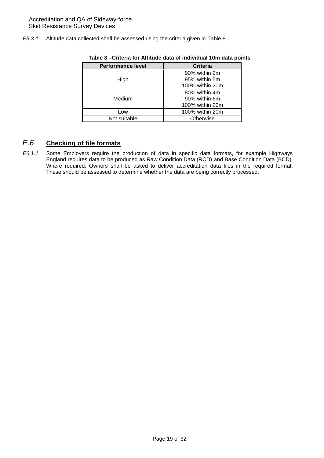<span id="page-18-1"></span>*E5.3.1* Altitude data collected shall be assessed using the criteria given in [Table 8.](#page-18-1)

| <b>Performance level</b> | Criteria        |
|--------------------------|-----------------|
|                          | 90% within 2m   |
| High                     | 95% within 5m   |
|                          | 100% within 20m |
|                          | 80% within 4m   |
| Medium                   | 90% within 6m   |
|                          | 100% within 20m |
| Low                      | 100% within 20m |
| Not suitable             | Otherwise       |

| Table 8 - Criteria for Altitude data of individual 10m data points |  |  |  |  |
|--------------------------------------------------------------------|--|--|--|--|
|--------------------------------------------------------------------|--|--|--|--|

## <span id="page-18-0"></span>*E.6* **Checking of file formats**

*E6.1.1* Some Employers require the production of data in specific data formats, for example Highways England requires data to be produced as Raw Condition Data (RCD) and Base Condition Data (BCD). Where required, Owners shall be asked to deliver accreditation data files in the required format. These should be assessed to determine whether the data are being correctly processed.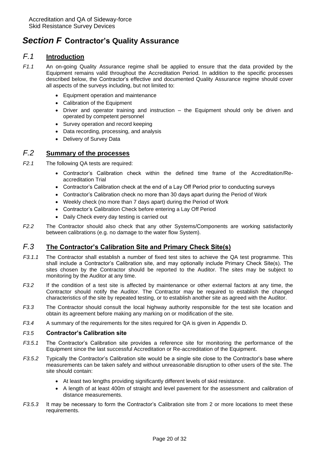## <span id="page-19-5"></span><span id="page-19-4"></span><span id="page-19-0"></span>*Section F* **Contractor's Quality Assurance**

## <span id="page-19-1"></span>*F.1* **Introduction**

- *F1.1* An on-going Quality Assurance regime shall be applied to ensure that the data provided by the Equipment remains valid throughout the Accreditation Period. In addition to the specific processes described below, the Contractor's effective and documented Quality Assurance regime should cover all aspects of the surveys including, but not limited to:
	- Equipment operation and maintenance
	- Calibration of the Equipment
	- Driver and operator training and instruction the Equipment should only be driven and operated by competent personnel
	- Survey operation and record keeping
	- Data recording, processing, and analysis
	- Delivery of Survey Data

## <span id="page-19-2"></span>*F.2* **Summary of the processes**

*F2.1* The following QA tests are required:

- Contractor's Calibration check within the defined time frame of the Accreditation/Reaccreditation Trial
- Contractor's Calibration check at the end of a Lay Off Period prior to conducting surveys
- Contractor's Calibration check no more than 30 days apart during the Period of Work
- Weekly check (no more than 7 days apart) during the Period of Work
- Contractor's Calibration Check before entering a Lay Off Period
- Daily Check every day testing is carried out
- *F2.2* The Contractor should also check that any other Systems/Components are working satisfactorily between calibrations (e.g. no damage to the water flow System).

## <span id="page-19-3"></span>*F.3* **The Contractor's Calibration Site and Primary Check Site(s)**

- *F3.1.1* The Contractor shall establish a number of fixed test sites to achieve the QA test programme. This shall include a Contractor's Calibration site, and may optionally include Primary Check Site(s). The sites chosen by the Contractor should be reported to the Auditor. The sites may be subject to monitoring by the Auditor at any time.
- *F3.2* If the condition of a test site is affected by maintenance or other external factors at any time, the Contractor should notify the Auditor. The Contractor may be required to establish the changed characteristics of the site by repeated testing, or to establish another site as agreed with the Auditor.
- *F3.3* The Contractor should consult the local highway authority responsible for the test site location and obtain its agreement before making any marking on or modification of the site.
- *F3.4* A summary of the requirements for the sites required for QA is given in [Appendix D.](#page-31-2)

#### *F3.5* **Contractor's Calibration site**

- *F3.5.1* The Contractor's Calibration site provides a reference site for monitoring the performance of the Equipment since the last successful Accreditation or Re-accreditation of the Equipment.
- *F3.5.2* Typically the Contractor's Calibration site would be a single site close to the Contractor's base where measurements can be taken safely and without unreasonable disruption to other users of the site. The site should contain:
	- At least two lengths providing significantly different levels of skid resistance.
	- A length of at least 400m of straight and level pavement for the assessment and calibration of distance measurements.
- *F3.5.3* It may be necessary to form the Contractor's Calibration site from 2 or more locations to meet these requirements.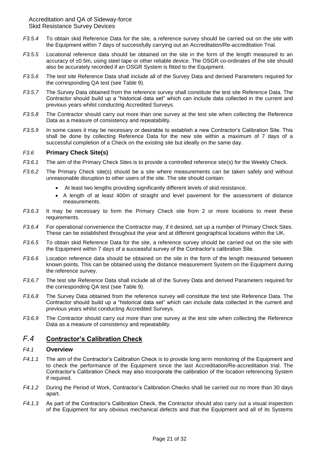- *F3.5.4* To obtain skid Reference Data for the site, a reference survey should be carried out on the site with the Equipment within 7 days of successfully carrying out an Accreditation/Re-accreditation Trial.
- *F3.5.5* Locational reference data should be obtained on the site in the form of the length measured to an accuracy of ±0.5m, using steel tape or other reliable device. The OSGR co-ordinates of the site should also be accurately recorded if an OSGR System is fitted to the Equipment.
- *F3.5.6* The test site Reference Data shall include all of the Survey Data and derived Parameters required for the corresponding QA test (see [Table 9\)](#page-21-0).
- *F3.5.7* The Survey Data obtained from the reference survey shall constitute the test site Reference Data. The Contractor should build up a "historical data set" which can include data collected in the current and previous years whilst conducting Accredited Surveys.
- *F3.5.8* The Contractor should carry out more than one survey at the test site when collecting the Reference Data as a measure of consistency and repeatability.
- *F3.5.9* In some cases it may be necessary or desirable to establish a new Contractor's Calibration Site. This shall be done by collecting Reference Data for the new site within a maximum of 7 days of a successful completion of a Check on the existing site but ideally on the same day.

#### *F3.6* **Primary Check Site(s)**

- *F3.6.1* The aim of the Primary Check Sites is to provide a controlled reference site(s) for the Weekly Check.
- *F3.6.2* The Primary Check site(s) should be a site where measurements can be taken safely and without unreasonable disruption to other users of the site. The site should contain:
	- At least two lengths providing significantly different levels of skid resistance.
	- A length of at least 400m of straight and level pavement for the assessment of distance measurements.
- *F3.6.3* It may be necessary to form the Primary Check site from 2 or more locations to meet these requirements.
- *F3.6.4* For operational convenience the Contractor may, if it desired, set up a number of Primary Check Sites. These can be established throughout the year and at different geographical locations within the UK.
- *F3.6.5* To obtain skid Reference Data for the site, a reference survey should be carried out on the site with the Equipment within 7 days of a successful survey of the Contractor's calibration Site.
- *F3.6.6* Location reference data should be obtained on the site in the form of the length measured between known points. This can be obtained using the distance measurement System on the Equipment during the reference survey.
- *F3.6.7* The test site Reference Data shall include all of the Survey Data and derived Parameters required for the corresponding QA test (see [Table 9\)](#page-21-0).
- *F3.6.8* The Survey Data obtained from the reference survey will constitute the test site Reference Data. The Contractor should build up a "historical data set" which can include data collected in the current and previous years whilst conducting Accredited Surveys.
- *F3.6.9* The Contractor should carry out more than one survey at the test site when collecting the Reference Data as a measure of consistency and repeatability.

## <span id="page-20-0"></span>*F.4* **Contractor's Calibration Check**

#### *F4.1* **Overview**

- *F4.1.1* The aim of the Contractor's Calibration Check is to provide long term monitoring of the Equipment and to check the performance of the Equipment since the last Accreditation/Re-accreditation trial. The Contractor's Calibration Check may also incorporate the calibration of the location referencing System if required.
- *F4.1.2* During the Period of Work, Contractor's Calibration Checks shall be carried out no more than 30 days apart.
- *F4.1.3* As part of the Contractor's Calibration Check, the Contractor should also carry out a visual inspection of the Equipment for any obvious mechanical defects and that the Equipment and all of its Systems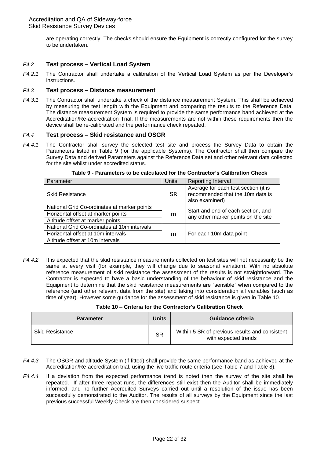are operating correctly. The checks should ensure the Equipment is correctly configured for the survey to be undertaken.

#### *F4.2* **Test process – Vertical Load System**

*F4.2.1* The Contractor shall undertake a calibration of the Vertical Load System as per the Developer's instructions.

#### *F4.3* **Test process – Distance measurement**

*F4.3.1* The Contractor shall undertake a check of the distance measurement System. This shall be achieved by measuring the test length with the Equipment and comparing the results to the Reference Data. The distance measurement System is required to provide the same performance band achieved at the Accreditation/Re-accreditation Trial. If the measurements are not within these requirements then the device shall be re-calibrated and the performance check repeated.

#### *F4.4* **Test process – Skid resistance and OSGR**

*F4.4.1* The Contractor shall survey the selected test site and process the Survey Data to obtain the Parameters listed in [Table 9](#page-21-0) (for the applicable Systems). The Contractor shall then compare the Survey Data and derived Parameters against the Reference Data set and other relevant data collected for the site whilst under accredited status.

<span id="page-21-0"></span>

| Parameter                                   | <b>Units</b> | <b>Reporting Interval</b>                                                                  |  |
|---------------------------------------------|--------------|--------------------------------------------------------------------------------------------|--|
| <b>Skid Resistance</b>                      | <b>SR</b>    | Average for each test section (it is<br>recommended that the 10m data is<br>also examined) |  |
| National Grid Co-ordinates at marker points | m            |                                                                                            |  |
| Horizontal offset at marker points          |              | Start and end of each section, and<br>any other marker points on the site                  |  |
| Altitude offset at marker points            |              |                                                                                            |  |
| National Grid Co-ordinates at 10m intervals |              |                                                                                            |  |
| Horizontal offset at 10m intervals          | m            | For each 10m data point                                                                    |  |
| Altitude offset at 10m intervals            |              |                                                                                            |  |

**Table 9 - Parameters to be calculated for the Contractor's Calibration Check**

*F4.4.2* It is expected that the skid resistance measurements collected on test sites will not necessarily be the same at every visit (for example, they will change due to seasonal variation). With no absolute reference measurement of skid resistance the assessment of the results is not straightforward. The Contractor is expected to have a basic understanding of the behaviour of skid resistance and the Equipment to determine that the skid resistance measurements are "sensible" when compared to the reference (and other relevant data from the site) and taking into consideration all variables (such as time of year). However some guidance for the assessment of skid resistance is given in [Table 10.](#page-21-1)

| Table 10 – Criteria for the Contractor's Calibration Check |  |
|------------------------------------------------------------|--|
|------------------------------------------------------------|--|

<span id="page-21-1"></span>

| <b>Parameter</b>       | Units     | Guidance criteria                                                      |
|------------------------|-----------|------------------------------------------------------------------------|
| <b>Skid Resistance</b> | <b>SR</b> | Within 5 SR of previous results and consistent<br>with expected trends |

- *F4.4.3* The OSGR and altitude System (if fitted) shall provide the same performance band as achieved at the Accreditation/Re-accreditation trial, using the live traffic route criteria (see [Table 7](#page-17-3) and [Table 8\)](#page-18-1).
- *F4.4.4* If a deviation from the expected performance trend is noted then the survey of the site shall be repeated. If after three repeat runs, the differences still exist then the Auditor shall be immediately informed, and no further Accredited Surveys carried out until a resolution of the issue has been successfully demonstrated to the Auditor. The results of all surveys by the Equipment since the last previous successful Weekly Check are then considered suspect.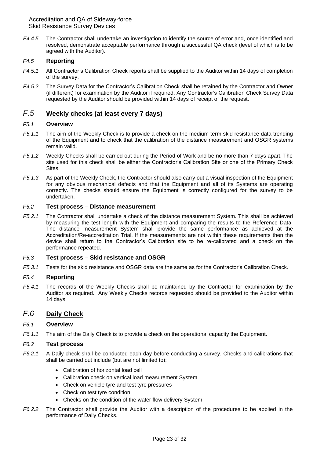*F4.4.5* The Contractor shall undertake an investigation to identify the source of error and, once identified and resolved, demonstrate acceptable performance through a successful QA check (level of which is to be agreed with the Auditor).

#### *F4.5* **Reporting**

- *F4.5.1* All Contractor's Calibration Check reports shall be supplied to the Auditor within 14 days of completion of the survey.
- *F4.5.2* The Survey Data for the Contractor's Calibration Check shall be retained by the Contractor and Owner (if different) for examination by the Auditor if required. Any Contractor's Calibration Check Survey Data requested by the Auditor should be provided within 14 days of receipt of the request.

## <span id="page-22-0"></span>*F.5* **Weekly checks (at least every 7 days)**

#### *F5.1* **Overview**

- *F5.1.1* The aim of the Weekly Check is to provide a check on the medium term skid resistance data trending of the Equipment and to check that the calibration of the distance measurement and OSGR systems remain valid.
- *F5.1.2* Weekly Checks shall be carried out during the Period of Work and be no more than 7 days apart. The site used for this check shall be either the Contractor's Calibration Site or one of the Primary Check Sites.
- *F5.1.3* As part of the Weekly Check, the Contractor should also carry out a visual inspection of the Equipment for any obvious mechanical defects and that the Equipment and all of its Systems are operating correctly. The checks should ensure the Equipment is correctly configured for the survey to be undertaken.

#### *F5.2* **Test process – Distance measurement**

*F5.2.1* The Contractor shall undertake a check of the distance measurement System. This shall be achieved by measuring the test length with the Equipment and comparing the results to the Reference Data. The distance measurement System shall provide the same performance as achieved at the Accreditation/Re-accreditation Trial. If the measurements are not within these requirements then the device shall return to the Contractor's Calibration site to be re-calibrated and a check on the performance repeated.

#### *F5.3* **Test process – Skid resistance and OSGR**

*F5.3.1* Tests for the skid resistance and OSGR data are the same as for the Contractor's Calibration Check.

#### *F5.4* **Reporting**

*F5.4.1* The records of the Weekly Checks shall be maintained by the Contractor for examination by the Auditor as required. Any Weekly Checks records requested should be provided to the Auditor within 14 days.

## <span id="page-22-1"></span>*F.6* **Daily Check**

#### *F6.1* **Overview**

*F6.1.1* The aim of the Daily Check is to provide a check on the operational capacity the Equipment.

#### *F6.2* **Test process**

- *F6.2.1* A Daily check shall be conducted each day before conducting a survey. Checks and calibrations that shall be carried out include (but are not limited to);
	- Calibration of horizontal load cell
	- Calibration check on vertical load measurement System
	- Check on vehicle tyre and test tyre pressures
	- Check on test tyre condition
	- Checks on the condition of the water flow delivery System
- *F6.2.2* The Contractor shall provide the Auditor with a description of the procedures to be applied in the performance of Daily Checks.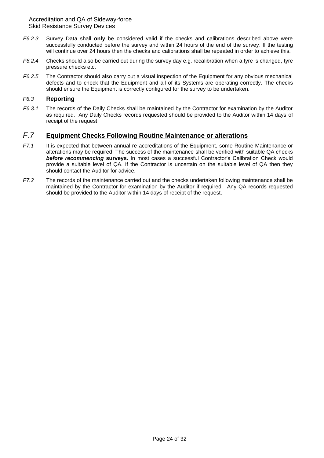- *F6.2.3* Survey Data shall **only** be considered valid if the checks and calibrations described above were successfully conducted before the survey and within 24 hours of the end of the survey. If the testing will continue over 24 hours then the checks and calibrations shall be repeated in order to achieve this.
- *F6.2.4* Checks should also be carried out during the survey day e.g. recalibration when a tyre is changed, tyre pressure checks etc.
- *F6.2.5* The Contractor should also carry out a visual inspection of the Equipment for any obvious mechanical defects and to check that the Equipment and all of its Systems are operating correctly. The checks should ensure the Equipment is correctly configured for the survey to be undertaken.

#### *F6.3* **Reporting**

*F6.3.1* The records of the Daily Checks shall be maintained by the Contractor for examination by the Auditor as required. Any Daily Checks records requested should be provided to the Auditor within 14 days of receipt of the request.

## <span id="page-23-0"></span>*F.7* **Equipment Checks Following Routine Maintenance or alterations**

- *F7.1* It is expected that between annual re-accreditations of the Equipment, some Routine Maintenance or alterations may be required. The success of the maintenance shall be verified with suitable QA checks *before recommencing* **surveys.** In most cases a successful Contractor's Calibration Check would provide a suitable level of QA. If the Contractor is uncertain on the suitable level of QA then they should contact the Auditor for advice.
- *F7.2* The records of the maintenance carried out and the checks undertaken following maintenance shall be maintained by the Contractor for examination by the Auditor if required. Any QA records requested should be provided to the Auditor within 14 days of receipt of the request.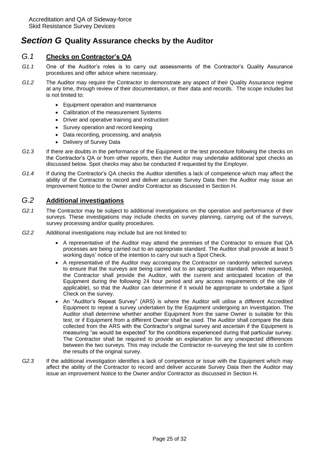## <span id="page-24-3"></span><span id="page-24-0"></span>*Section G* **Quality Assurance checks by the Auditor**

## <span id="page-24-1"></span>*G.1* **Checks on Contractor's QA**

- *G1.1* One of the Auditor's roles is to carry out assessments of the Contractor's Quality Assurance procedures and offer advice where necessary.
- *G1.2* The Auditor may require the Contractor to demonstrate any aspect of their Quality Assurance regime at any time, through review of their documentation, or their data and records. The scope includes but is not limited to:
	- Equipment operation and maintenance
	- Calibration of the measurement Systems
	- Driver and operative training and instruction
	- Survey operation and record keeping
	- Data recording, processing, and analysis
	- Delivery of Survey Data
- *G1.3* If there are doubts in the performance of the Equipment or the test procedure following the checks on the Contractor's QA or from other reports, then the Auditor may undertake additional spot checks as discussed below. Spot checks may also be conducted if requested by the Employer.
- *G1.4* If during the Contractor's QA checks the Auditor identifies a lack of competence which may affect the ability of the Contractor to record and deliver accurate Survey Data then the Auditor may issue an Improvement Notice to the Owner and/or Contractor as discussed in [Section H.](#page-25-2)

## <span id="page-24-2"></span>*G.2* **Additional investigations**

- *G2.1* The Contractor may be subject to additional investigations on the operation and performance of their surveys. These investigations may include checks on survey planning, carrying out of the surveys, survey processing and/or quality procedures.
- *G2.2* Additional investigations may include but are not limited to:
	- A representative of the Auditor may attend the premises of the Contractor to ensure that QA processes are being carried out to an appropriate standard. The Auditor shall provide at least 5 working days' notice of the intention to carry out such a Spot Check.
	- A representative of the Auditor may accompany the Contractor on randomly selected surveys to ensure that the surveys are being carried out to an appropriate standard. When requested, the Contractor shall provide the Auditor, with the current and anticipated location of the Equipment during the following 24 hour period and any access requirements of the site (if applicable), so that the Auditor can determine if it would be appropriate to undertake a Spot Check on the survey.
	- An "Auditor's Repeat Survey" (ARS) is where the Auditor will utilise a different Accredited Equipment to repeat a survey undertaken by the Equipment undergoing an investigation. The Auditor shall determine whether another Equipment from the same Owner is suitable for this test, or if Equipment from a different Owner shall be used. The Auditor shall compare the data collected from the ARS with the Contractor's original survey and ascertain if the Equipment is measuring "as would be expected" for the conditions experienced during that particular survey. The Contractor shall be required to provide an explanation for any unexpected differences between the two surveys. This may include the Contractor re-surveying the test site to confirm the results of the original survey.
- *G2.3* If the additional investigation identifies a lack of competence or issue with the Equipment which may affect the ability of the Contractor to record and deliver accurate Survey Data then the Auditor may issue an improvement Notice to the Owner and/or Contractor as discussed in [Section H.](#page-25-2)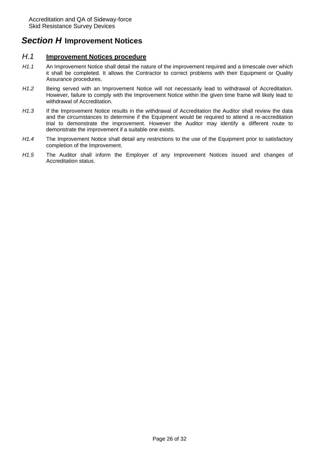## <span id="page-25-2"></span><span id="page-25-0"></span>*Section H* **Improvement Notices**

## <span id="page-25-1"></span>*H.1* **Improvement Notices procedure**

- *H1.1* An Improvement Notice shall detail the nature of the improvement required and a timescale over which it shall be completed. It allows the Contractor to correct problems with their Equipment or Quality Assurance procedures.
- *H1.2* Being served with an Improvement Notice will not necessarily lead to withdrawal of Accreditation. However, failure to comply with the Improvement Notice within the given time frame will likely lead to withdrawal of Accreditation.
- *H1.3* If the Improvement Notice results in the withdrawal of Accreditation the Auditor shall review the data and the circumstances to determine if the Equipment would be required to attend a re-accreditation trial to demonstrate the improvement. However the Auditor may identify a different route to demonstrate the improvement if a suitable one exists.
- *H1.4* The Improvement Notice shall detail any restrictions to the use of the Equipment prior to satisfactory completion of the Improvement.
- *H1.5* The Auditor shall inform the Employer of any Improvement Notices issued and changes of Accreditation status.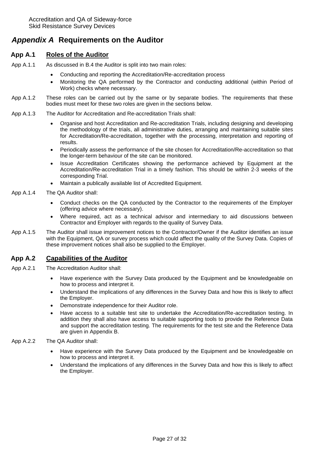## <span id="page-26-3"></span><span id="page-26-0"></span>*Appendix A* **Requirements on the Auditor**

### <span id="page-26-1"></span>**App A.1 Roles of the Auditor**

- App A.1.1 As discussed in [B.4](#page-10-6) the Auditor is split into two main roles:
	- Conducting and reporting the Accreditation/Re-accreditation process
	- Monitoring the QA performed by the Contractor and conducting additional (within Period of Work) checks where necessary.
- App A.1.2 These roles can be carried out by the same or by separate bodies. The requirements that these bodies must meet for these two roles are given in the sections below.
- App A.1.3 The Auditor for Accreditation and Re-accreditation Trials shall:
	- Organise and host Accreditation and Re-accreditation Trials, including designing and developing the methodology of the trials, all administrative duties, arranging and maintaining suitable sites for Accreditation/Re-accreditation, together with the processing, interpretation and reporting of results.
	- Periodically assess the performance of the site chosen for Accreditation/Re-accreditation so that the longer-term behaviour of the site can be monitored.
	- Issue Accreditation Certificates showing the performance achieved by Equipment at the Accreditation/Re-accreditation Trial in a timely fashion. This should be within 2-3 weeks of the corresponding Trial.
	- Maintain a publically available list of Accredited Equipment.
- App A.1.4 The QA Auditor shall:
	- Conduct checks on the QA conducted by the Contractor to the requirements of the Employer (offering advice where necessary).
	- Where required, act as a technical advisor and intermediary to aid discussions between Contractor and Employer with regards to the quality of Survey Data.
- App A.1.5 The Auditor shall issue improvement notices to the Contractor/Owner if the Auditor identifies an issue with the Equipment, QA or survey process which could affect the quality of the Survey Data. Copies of these improvement notices shall also be supplied to the Employer.

### <span id="page-26-2"></span>**App A.2 Capabilities of the Auditor**

- App A.2.1 The Accreditation Auditor shall:
	- Have experience with the Survey Data produced by the Equipment and be knowledgeable on how to process and interpret it.
	- Understand the implications of any differences in the Survey Data and how this is likely to affect the Employer.
	- Demonstrate independence for their Auditor role.
	- Have access to a suitable test site to undertake the Accreditation/Re-accreditation testing. In addition they shall also have access to suitable supporting tools to provide the Reference Data and support the accreditation testing. The requirements for the test site and the Reference Data are given in [Appendix B.](#page-27-4)
- App A.2.2 The QA Auditor shall:
	- Have experience with the Survey Data produced by the Equipment and be knowledgeable on how to process and interpret it.
	- Understand the implications of any differences in the Survey Data and how this is likely to affect the Employer.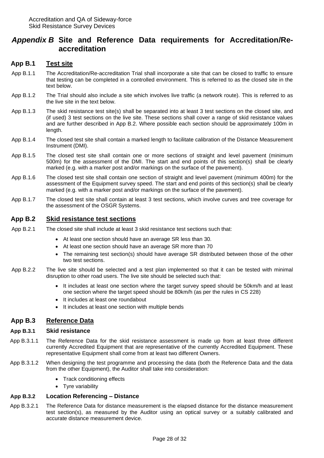## <span id="page-27-4"></span><span id="page-27-0"></span>*Appendix B* **Site and Reference Data requirements for Accreditation/Reaccreditation**

### <span id="page-27-1"></span>**App B.1 Test site**

- App B.1.1 The Accreditation/Re-accreditation Trial shall incorporate a site that can be closed to traffic to ensure that testing can be completed in a controlled environment. This is referred to as the closed site in the text below.
- App B.1.2 The Trial should also include a site which involves live traffic (a network route). This is referred to as the live site in the text below.
- App B.1.3 The skid resistance test site(s) shall be separated into at least 3 test sections on the closed site, and (if used) 3 test sections on the live site. These sections shall cover a range of skid resistance values and are further described in [App B.2.](#page-27-7) Where possible each section should be approximately 100m in length.
- App B.1.4 The closed test site shall contain a marked length to facilitate calibration of the Distance Measurement Instrument (DMI).
- App B.1.5 The closed test site shall contain one or more sections of straight and level pavement (minimum 500m) for the assessment of the DMI. The start and end points of this section(s) shall be clearly marked (e.g. with a marker post and/or markings on the surface of the pavement).
- App B.1.6 The closed test site shall contain one section of straight and level pavement (minimum 400m) for the assessment of the Equipment survey speed. The start and end points of this section(s) shall be clearly marked (e.g. with a marker post and/or markings on the surface of the pavement).
- App B.1.7 The closed test site shall contain at least 3 test sections, which involve curves and tree coverage for the assessment of the OSGR Systems.

#### <span id="page-27-7"></span><span id="page-27-2"></span>**App B.2 Skid resistance test sections**

- App B.2.1 The closed site shall include at least 3 skid resistance test sections such that:
	- At least one section should have an average SR less than 30.
	- At least one section should have an average SR more than 70
	- The remaining test section(s) should have average SR distributed between those of the other two test sections.
- App B.2.2 The live site should be selected and a test plan implemented so that it can be tested with minimal disruption to other road users. The live site should be selected such that:
	- It includes at least one section where the target survey speed should be 50km/h and at least one section where the target speed should be 80km/h (as per the rules in CS 228)
	- It includes at least one roundabout
	- It includes at least one section with multiple bends

### <span id="page-27-5"></span><span id="page-27-3"></span>**App B.3 Reference Data**

#### <span id="page-27-6"></span>**App B.3.1 Skid resistance**

- App B.3.1.1 The Reference Data for the skid resistance assessment is made up from at least three different currently Accredited Equipment that are representative of the currently Accredited Equipment. These representative Equipment shall come from at least two different Owners.
- App B.3.1.2 When designing the test programme and processing the data (both the Reference Data and the data from the other Equipment), the Auditor shall take into consideration:
	- Track conditioning effects
	- Tyre variability

#### **App B.3.2 Location Referencing – Distance**

App B.3.2.1 The Reference Data for distance measurement is the elapsed distance for the distance measurement test section(s), as measured by the Auditor using an optical survey or a suitably calibrated and accurate distance measurement device.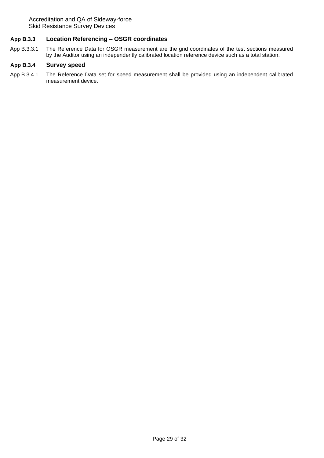#### **App B.3.3 Location Referencing – OSGR coordinates**

App B.3.3.1 The Reference Data for OSGR measurement are the grid coordinates of the test sections measured by the Auditor using an independently calibrated location reference device such as a total station.

#### **App B.3.4 Survey speed**

App B.3.4.1 The Reference Data set for speed measurement shall be provided using an independent calibrated measurement device.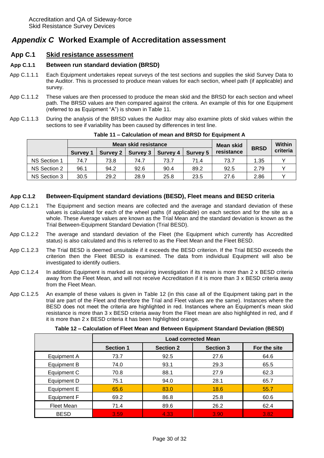## <span id="page-29-2"></span><span id="page-29-0"></span>*Appendix C* **Worked Example of Accreditation assessment**

### <span id="page-29-1"></span>**App C.1 Skid resistance assessment**

#### **App C.1.1 Between run standard deviation (BRSD)**

- App C.1.1.1 Each Equipment undertakes repeat surveys of the test sections and supplies the skid Survey Data to the Auditor. This is processed to produce mean values for each section, wheel path (if applicable) and survey.
- App C.1.1.2 These values are then processed to produce the mean skid and the BRSD for each section and wheel path. The BRSD values are then compared against the critera. An example of this for one Equipment (referred to as Equipment "A") is shown in [Table 11.](#page-29-3)
- App C.1.1.3 During the analysis of the BRSD values the Auditor may also examine plots of skid values within the sections to see if variability has been caused by differences in test line.

<span id="page-29-3"></span>

|              | <b>Mean skid resistance</b> |                 |          |                 |                 | Mean skid  |             | Within   |
|--------------|-----------------------------|-----------------|----------|-----------------|-----------------|------------|-------------|----------|
|              | <b>Survey 1</b>             | <b>Survey 2</b> | Survey 3 | <b>Survey 4</b> | <b>Survey 5</b> | resistance | <b>BRSD</b> | criteria |
| NS Section 1 | 74.7                        | 73.8            | 74.7     | 73.7            | 71.4            | 73.7       | 1.35        |          |
| NS Section 2 | 96.1                        | 94.2            | 92.6     | 90.4            | 89.2            | 92.5       | 2.79        |          |
| NS Section 3 | 30.5                        | 29.2            | 28.9     | 25.8            | 23.5            | 27.6       | 2.86        |          |

**Table 11 – Calculation of mean and BRSD for Equipment A**

#### **App C.1.2 Between-Equipment standard deviations (BESD), Fleet means and BESD criteria**

- App C.1.2.1 The Equipment and section means are collected and the average and standard deviation of these values is calculated for each of the wheel paths (if applicable) on each section and for the site as a whole. These Average values are known as the Trial Mean and the standard deviation is known as the Trial Between-Equipment Standard Deviation (Trial BESD).
- App C.1.2.2 The average and standard deviation of the Fleet (the Equipment which currently has Accredited status) is also calculated and this is referred to as the Fleet Mean and the Fleet BESD.
- App C.1.2.3 The Trial BESD is deemed unsuitable if it exceeds the BESD criterion. If the Trial BESD exceeds the criterion then the Fleet BESD is examined. The data from individual Equipment will also be investigated to identify outliers.
- App C.1.2.4 In addition Equipment is marked as requiring investigation if its mean is more than 2 x BESD criteria away from the Fleet Mean, and will not receive Accreditation if it is more than 3 x BESD criteria away from the Fleet Mean.
- App C.1.2.5 An example of these values is given in [Table 12](#page-29-4) (in this case all of the Equipment taking part in the trial are part of the Fleet and therefore the Trial and Fleet values are the same). Instances where the BESD does not meet the criteria are highlighted in red. Instances where an Equipment's mean skid resistance is more than 3 x BESD criteria away from the Fleet mean are also highlighted in red, and if it is more than 2 x BESD criteria it has been highlighted orange.

**Table 12 – Calculation of Fleet Mean and Between Equipment Standard Deviation (BESD)**

<span id="page-29-4"></span>

|             | <b>Load corrected Mean</b> |                  |                  |              |  |
|-------------|----------------------------|------------------|------------------|--------------|--|
|             | <b>Section 1</b>           | <b>Section 2</b> | <b>Section 3</b> | For the site |  |
| Equipment A | 73.7                       | 92.5             | 27.6             | 64.6         |  |
| Equipment B | 74.0                       | 93.1             | 29.3             | 65.5         |  |
| Equipment C | 70.8                       | 88.1             | 27.9             | 62.3         |  |
| Equipment D | 75.1                       | 94.0             | 28.1             | 65.7         |  |
| Equipment E | 65.6                       | 83.0             | 18.6             | 55.7         |  |
| Equipment F | 69.2                       | 86.8             | 25.8             | 60.6         |  |
| Fleet Mean  | 71.4                       | 89.6             | 26.2             | 62.4         |  |
| <b>BESD</b> | 3.59                       | 4.33             | 3.90             | 3.82         |  |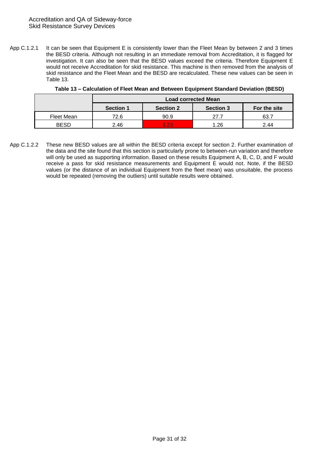App C.1.2.1 It can be seen that Equipment E is consistently lower than the Fleet Mean by between 2 and 3 times the BESD criteria. Although not resulting in an immediate removal from Accreditation, it is flagged for investigation. It can also be seen that the BESD values exceed the criteria. Therefore Equipment E would not receive Accreditation for skid resistance. This machine is then removed from the analysis of skid resistance and the Fleet Mean and the BESD are recalculated. These new values can be seen in [Table 13.](#page-30-0)

<span id="page-30-0"></span>

|             | <b>Load corrected Mean</b> |                  |                  |              |
|-------------|----------------------------|------------------|------------------|--------------|
|             | <b>Section 1</b>           | <b>Section 2</b> | <b>Section 3</b> | For the site |
| Fleet Mean  | 72.6                       | 90.9             | 27.7             | 63.7         |
| <b>BESD</b> | 2.46                       | ຊ ລຊ             | .26              | 2.44         |

**Table 13 – Calculation of Fleet Mean and Between Equipment Standard Deviation (BESD)**

App C.1.2.2 These new BESD values are all within the BESD criteria except for section 2. Further examination of the data and the site found that this section is particularly prone to between-run variation and therefore will only be used as supporting information. Based on these results Equipment A, B, C, D, and F would receive a pass for skid resistance measurements and Equipment E would not. Note, if the BESD values (or the distance of an individual Equipment from the fleet mean) was unsuitable, the process would be repeated (removing the outliers) until suitable results were obtained.